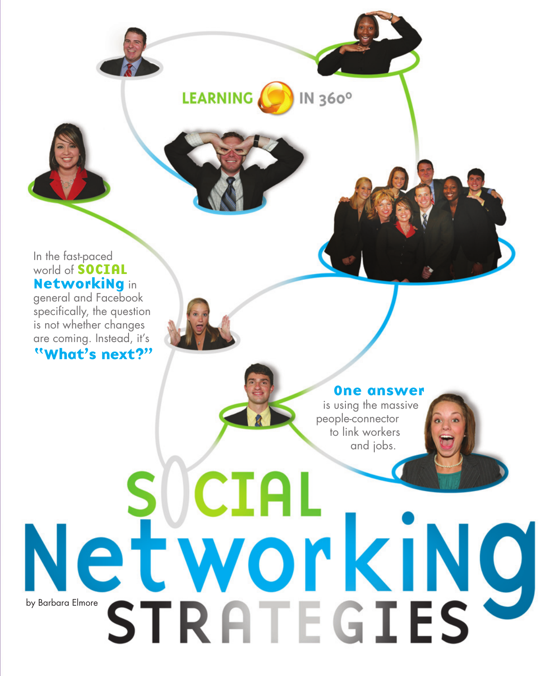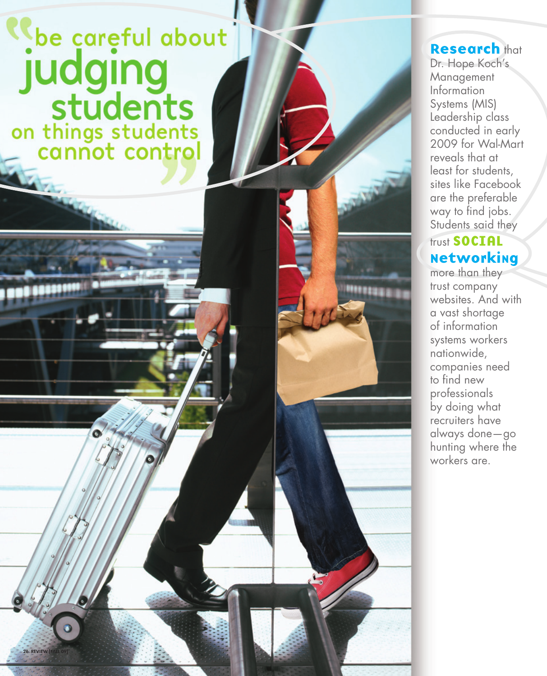## be careful about judging<br>students<br>on things students<br>annot control

 $\bullet$ 

**26 REVIEW [FALL** 

## **Research that**

Dr. Hope Koch's Management Information Systems (MIS) Leadership class conducted in early 2009 for Wal-Mart reveals that at least for students, sites like Facebook are the preferable way to find jobs. Students said they

## trust SOCIAL Networking

more than they trust company websites. And with a vast shortage of information systems workers nationwide, companies need to find new professionals by doing what recruiters have always done—go hunting where the workers are.